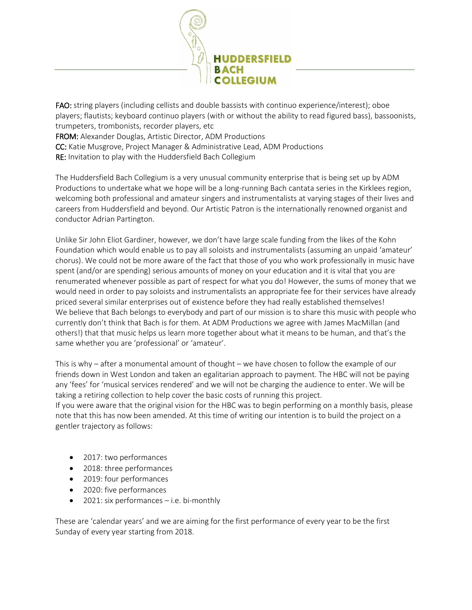

FAO: string players (including cellists and double bassists with continuo experience/interest); oboe players; flautists; keyboard continuo players (with or without the ability to read figured bass), bassoonists, trumpeters, trombonists, recorder players, etc

FROM: Alexander Douglas, Artistic Director, ADM Productions

CC: Katie Musgrove, Project Manager & Administrative Lead, ADM Productions

RE: Invitation to play with the Huddersfield Bach Collegium

The Huddersfield Bach Collegium is a very unusual community enterprise that is being set up by ADM Productions to undertake what we hope will be a long-running Bach cantata series in the Kirklees region, welcoming both professional and amateur singers and instrumentalists at varying stages of their lives and careers from Huddersfield and beyond. Our Artistic Patron is the internationally renowned organist and conductor Adrian Partington.

Unlike Sir John Eliot Gardiner, however, we don't have large scale funding from the likes of the Kohn Foundation which would enable us to pay all soloists and instrumentalists (assuming an unpaid 'amateur' chorus). We could not be more aware of the fact that those of you who work professionally in music have spent (and/or are spending) serious amounts of money on your education and it is vital that you are renumerated whenever possible as part of respect for what you do! However, the sums of money that we would need in order to pay soloists and instrumentalists an appropriate fee for their services have already priced several similar enterprises out of existence before they had really established themselves! We believe that Bach belongs to everybody and part of our mission is to share this music with people who currently don't think that Bach is for them. At ADM Productions we agree with James MacMillan (and others!) that that music helps us learn more together about what it means to be human, and that's the same whether you are 'professional' or 'amateur'.

This is why – after a monumental amount of thought – we have chosen to follow the example of our friends down in West London and taken an egalitarian approach to payment. The HBC will not be paying any 'fees' for 'musical services rendered' and we will not be charging the audience to enter. We will be taking a retiring collection to help cover the basic costs of running this project.

If you were aware that the original vision for the HBC was to begin performing on a monthly basis, please note that this has now been amended. At this time of writing our intention is to build the project on a gentler trajectory as follows:

- 2017: two performances
- 2018: three performances
- 2019: four performances
- 2020: five performances
- 2021: six performances i.e. bi-monthly

These are 'calendar years' and we are aiming for the first performance of every year to be the first Sunday of every year starting from 2018.